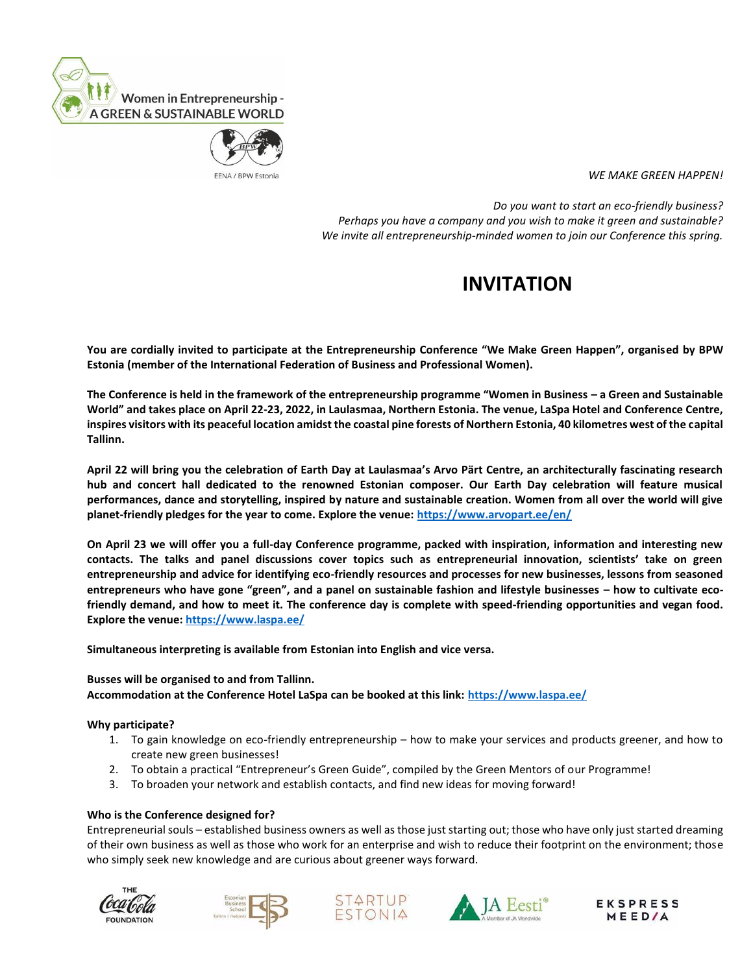



*WE MAKE GREEN HAPPEN!*

 *Do you want to start an eco-friendly business? Perhaps you have a company and you wish to make it green and sustainable? We invite all entrepreneurship-minded women to join our Conference this spring.*

## **INVITATION**

**You are cordially invited to participate at the Entrepreneurship Conference "We Make Green Happen", organised by BPW Estonia (member of the International Federation of Business and Professional Women).** 

**The Conference is held in the framework of the entrepreneurship programme "Women in Business – a Green and Sustainable World" and takes place on April 22-23, 2022, in Laulasmaa, Northern Estonia. The venue, LaSpa Hotel and Conference Centre, inspires visitors with its peaceful location amidst the coastal pine forests of Northern Estonia, 40 kilometres west of the capital Tallinn.**

**April 22 will bring you the celebration of Earth Day at Laulasmaa's Arvo Pärt Centre, an architecturally fascinating research hub and concert hall dedicated to the renowned Estonian composer. Our Earth Day celebration will feature musical performances, dance and storytelling, inspired by nature and sustainable creation. Women from all over the world will give planet-friendly pledges for the year to come. Explore the venue:<https://www.arvopart.ee/en/>**

**On April 23 we will offer you a full-day Conference programme, packed with inspiration, information and interesting new contacts. The talks and panel discussions cover topics such as entrepreneurial innovation, scientists' take on green entrepreneurship and advice for identifying eco-friendly resources and processes for new businesses, lessons from seasoned entrepreneurs who have gone "green", and a panel on sustainable fashion and lifestyle businesses – how to cultivate ecofriendly demand, and how to meet it. The conference day is complete with speed-friending opportunities and vegan food. Explore the venue:<https://www.laspa.ee/>**

**Simultaneous interpreting is available from Estonian into English and vice versa.** 

**Busses will be organised to and from Tallinn. Accommodation at the Conference Hotel LaSpa can be booked at this link:<https://www.laspa.ee/>**

## **Why participate?**

- 1. To gain knowledge on eco-friendly entrepreneurship how to make your services and products greener, and how to create new green businesses!
- 2. To obtain a practical "Entrepreneur's Green Guide", compiled by the Green Mentors of our Programme!
- 3. To broaden your network and establish contacts, and find new ideas for moving forward!

## **Who is the Conference designed for?**

Entrepreneurial souls – established business owners as well as those just starting out; those who have only just started dreaming of their own business as well as those who work for an enterprise and wish to reduce their footprint on the environment; those who simply seek new knowledge and are curious about greener ways forward.









**EKSPRESS MEED/A**